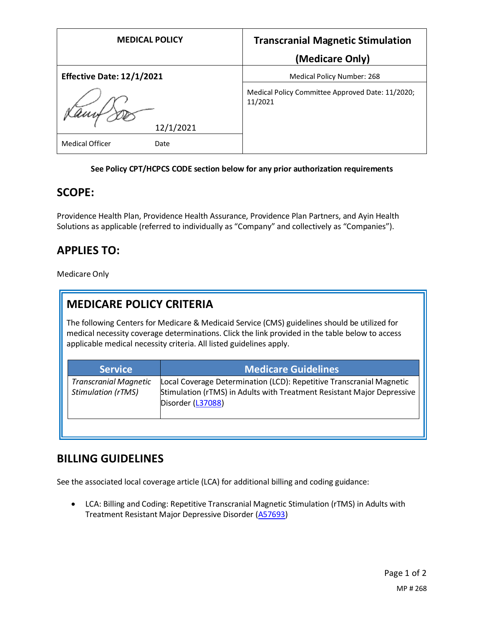| <b>MEDICAL POLICY</b>            | <b>Transcranial Magnetic Stimulation</b>                    |
|----------------------------------|-------------------------------------------------------------|
|                                  | (Medicare Only)                                             |
| <b>Effective Date: 12/1/2021</b> | Medical Policy Number: 268                                  |
| 12/1/2021                        | Medical Policy Committee Approved Date: 11/2020;<br>11/2021 |
| <b>Medical Officer</b><br>Date   |                                                             |

#### **See Policy CPT/HCPCS CODE section below for any prior authorization requirements**

## **SCOPE:**

Providence Health Plan, Providence Health Assurance, Providence Plan Partners, and Ayin Health Solutions as applicable (referred to individually as "Company" and collectively as "Companies").

# **APPLIES TO:**

Medicare Only

## **MEDICARE POLICY CRITERIA**

The following Centers for Medicare & Medicaid Service (CMS) guidelines should be utilized for medical necessity coverage determinations. Click the link provided in the table below to access applicable medical necessity criteria. All listed guidelines apply.

| <b>Service</b>                                            | <b>Medicare Guidelines</b>                                                                                                                                          |
|-----------------------------------------------------------|---------------------------------------------------------------------------------------------------------------------------------------------------------------------|
| <b>Transcranial Magnetic</b><br><b>Stimulation (rTMS)</b> | Local Coverage Determination (LCD): Repetitive Transcranial Magnetic<br>Stimulation (rTMS) in Adults with Treatment Resistant Major Depressive<br>Disorder (L37088) |

### **BILLING GUIDELINES**

See the associated local coverage article (LCA) for additional billing and coding guidance:

• LCA: Billing and Coding: Repetitive Transcranial Magnetic Stimulation (rTMS) in Adults with Treatment Resistant Major Depressive Disorder [\(A57693\)](https://www.cms.gov/medicare-coverage-database/details/article-details.aspx?articleId=57693)